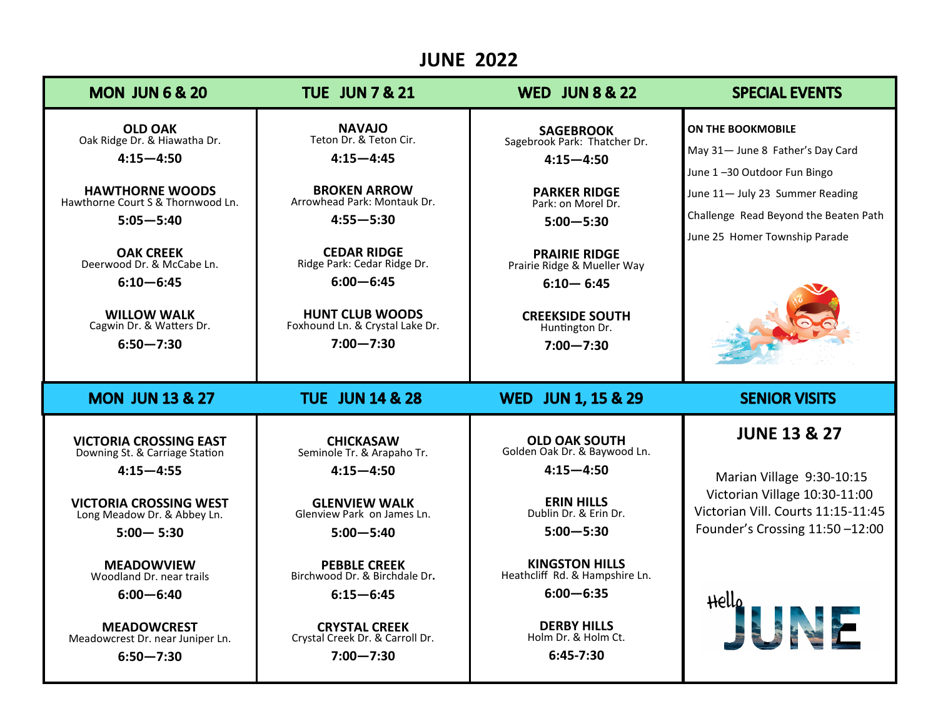## **JUNE 2022**

| <b>MON JUN 6 &amp; 20</b>                                                                                                                                                                                                                                                            | <b>TUE JUN 7 &amp; 21</b>                                                                                                                                                                                                                                                           | <b>WED JUN 8 &amp; 22</b>                                                                                                                                                                                                                                            | <b>SPECIAL EVENTS</b>                                                                                                                                                                             |
|--------------------------------------------------------------------------------------------------------------------------------------------------------------------------------------------------------------------------------------------------------------------------------------|-------------------------------------------------------------------------------------------------------------------------------------------------------------------------------------------------------------------------------------------------------------------------------------|----------------------------------------------------------------------------------------------------------------------------------------------------------------------------------------------------------------------------------------------------------------------|---------------------------------------------------------------------------------------------------------------------------------------------------------------------------------------------------|
| <b>OLD OAK</b><br>Oak Ridge Dr. & Hiawatha Dr.<br>$4:15 - 4:50$<br><b>HAWTHORNE WOODS</b><br>Hawthorne Court S & Thornwood Ln.<br>$5:05 - 5:40$<br><b>OAK CREEK</b><br>Deerwood Dr. & McCabe Ln.<br>$6:10 - 6:45$<br><b>WILLOW WALK</b><br>Cagwin Dr. & Watters Dr.<br>$6:50 - 7:30$ | <b>NAVAJO</b><br>Teton Dr. & Teton Cir.<br>$4:15 - 4:45$<br><b>BROKEN ARROW</b><br>Arrowhead Park: Montauk Dr.<br>$4:55 - 5:30$<br><b>CEDAR RIDGE</b><br>Ridge Park: Cedar Ridge Dr.<br>$6:00 - 6:45$<br><b>HUNT CLUB WOODS</b><br>Foxhound Ln. & Crystal Lake Dr.<br>$7:00 - 7:30$ | <b>SAGEBROOK</b><br>Sagebrook Park: Thatcher Dr.<br>$4:15 - 4:50$<br><b>PARKER RIDGE</b><br>Park: on Morel Dr.<br>$5:00 - 5:30$<br><b>PRAIRIE RIDGE</b><br>Prairie Ridge & Mueller Way<br>$6:10 - 6:45$<br><b>CREEKSIDE SOUTH</b><br>Huntington Dr.<br>$7:00 - 7:30$ | ON THE BOOKMOBILE<br>May 31- June 8 Father's Day Card<br>June 1-30 Outdoor Fun Bingo<br>June 11- July 23 Summer Reading<br>Challenge Read Beyond the Beaten Path<br>June 25 Homer Township Parade |
|                                                                                                                                                                                                                                                                                      |                                                                                                                                                                                                                                                                                     |                                                                                                                                                                                                                                                                      |                                                                                                                                                                                                   |
| <b>MON JUN 13 &amp; 27</b>                                                                                                                                                                                                                                                           | <b>TUE JUN 14 &amp; 28</b>                                                                                                                                                                                                                                                          | <b>WED JUN 1, 15 &amp; 29</b>                                                                                                                                                                                                                                        | <b>SENIOR VISITS</b>                                                                                                                                                                              |
| <b>VICTORIA CROSSING EAST</b><br>Downing St. & Carriage Station<br>$4:15 - 4:55$<br><b>VICTORIA CROSSING WEST</b><br>Long Meadow Dr. & Abbey Ln.<br>$5:00 - 5:30$                                                                                                                    | <b>CHICKASAW</b><br>Seminole Tr. & Arapaho Tr.<br>$4:15 - 4:50$<br><b>GLENVIEW WALK</b><br>Glenview Park on James Ln.<br>$5:00 - 5:40$                                                                                                                                              | <b>OLD OAK SOUTH</b><br>Golden Oak Dr. & Baywood Ln.<br>$4:15 - 4:50$<br><b>ERIN HILLS</b><br>Dublin Dr. & Erin Dr.<br>$5:00 - 5:30$                                                                                                                                 | <b>JUNE 13 &amp; 27</b><br>Marian Village 9:30-10:15<br>Victorian Village 10:30-11:00<br>Victorian Vill. Courts 11:15-11:45<br>Founder's Crossing 11:50 -12:00                                    |